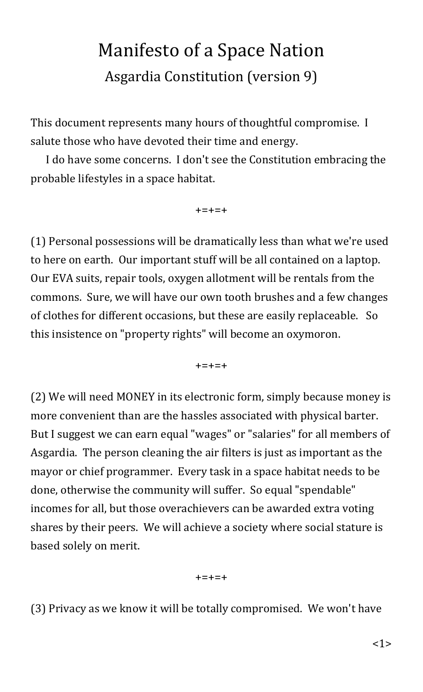## Manifesto of a Space Nation Asgardia Constitution (version 9)

This document represents many hours of thoughtful compromise. I salute those who have devoted their time and energy.

I do have some concerns. I don't see the Constitution embracing the probable lifestyles in a space habitat.

+=+=+

(1) Personal possessions will be dramatically less than what we're used to here on earth. Our important stuff will be all contained on a laptop. Our EVA suits, repair tools, oxygen allotment will be rentals from the commons. Sure, we will have our own tooth brushes and a few changes of clothes for different occasions, but these are easily replaceable. So this insistence on "property rights" will become an oxymoron.

 $+ = + = +$ 

(2) We will need MONEY in its electronic form, simply because money is more convenient than are the hassles associated with physical barter. But I suggest we can earn equal "wages" or "salaries" for all members of Asgardia. The person cleaning the air filters is just as important as the mayor or chief programmer. Every task in a space habitat needs to be done, otherwise the community will suffer. So equal "spendable" incomes for all, but those overachievers can be awarded extra voting shares by their peers. We will achieve a society where social stature is based solely on merit.

+=+=+

(3) Privacy as we know it will be totally compromised. We won't have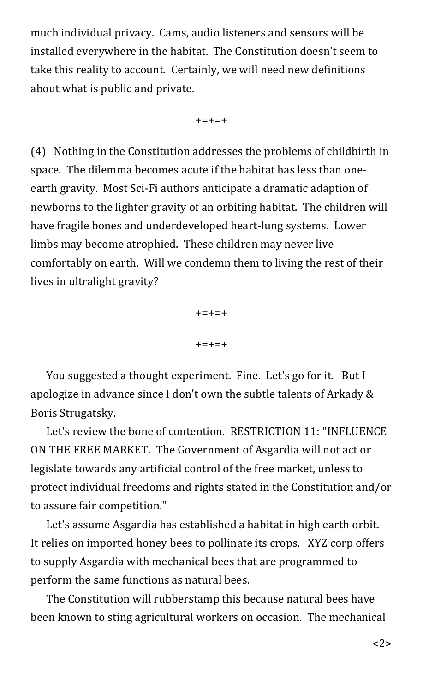much individual privacy. Cams, audio listeners and sensors will be installed everywhere in the habitat. The Constitution doesn't seem to take this reality to account. Certainly, we will need new definitions about what is public and private.

+=+=+

(4) Nothing in the Constitution addresses the problems of childbirth in space. The dilemma becomes acute if the habitat has less than oneearth gravity. Most Sci-Fi authors anticipate a dramatic adaption of newborns to the lighter gravity of an orbiting habitat. The children will have fragile bones and underdeveloped heart-lung systems. Lower limbs may become atrophied. These children may never live comfortably on earth. Will we condemn them to living the rest of their lives in ultralight gravity?

> +=+=+ +=+=+

You suggested a thought experiment. Fine. Let's go for it. But I apologize in advance since I don't own the subtle talents of Arkady & Boris Strugatsky.

Let's review the bone of contention. RESTRICTION 11: "INFLUENCE ON THE FREE MARKET. The Government of Asgardia will not act or legislate towards any artificial control of the free market, unless to protect individual freedoms and rights stated in the Constitution and/or to assure fair competition."

Let's assume Asgardia has established a habitat in high earth orbit. It relies on imported honey bees to pollinate its crops. XYZ corp offers to supply Asgardia with mechanical bees that are programmed to perform the same functions as natural bees.

The Constitution will rubberstamp this because natural bees have been known to sting agricultural workers on occasion. The mechanical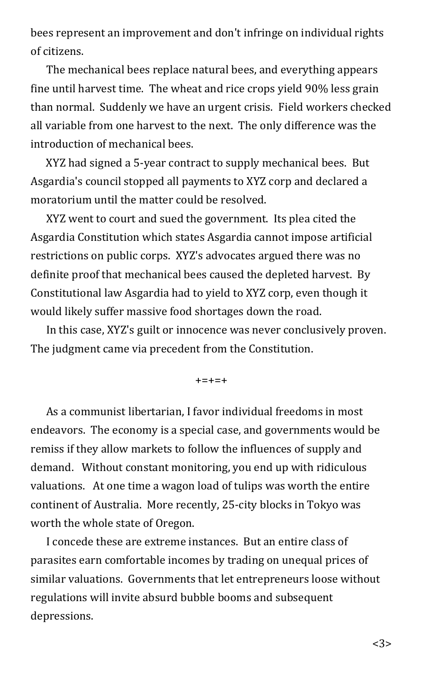bees represent an improvement and don't infringe on individual rights of citizens.

The mechanical bees replace natural bees, and everything appears fine until harvest time. The wheat and rice crops yield 90% less grain than normal. Suddenly we have an urgent crisis. Field workers checked all variable from one harvest to the next. The only difference was the introduction of mechanical bees.

XYZ had signed a 5-year contract to supply mechanical bees. But Asgardia's council stopped all payments to XYZ corp and declared a moratorium until the matter could be resolved.

XYZ went to court and sued the government. Its plea cited the Asgardia Constitution which states Asgardia cannot impose artificial restrictions on public corps. XYZ's advocates argued there was no definite proof that mechanical bees caused the depleted harvest. By Constitutional law Asgardia had to yield to XYZ corp, even though it would likely suffer massive food shortages down the road.

In this case, XYZ's guilt or innocence was never conclusively proven. The judgment came via precedent from the Constitution.

 $+ = + = +$ 

As a communist libertarian, I favor individual freedoms in most endeavors. The economy is a special case, and governments would be remiss if they allow markets to follow the influences of supply and demand. Without constant monitoring, you end up with ridiculous valuations. At one time a wagon load of tulips was worth the entire continent of Australia. More recently, 25-city blocks in Tokyo was worth the whole state of Oregon.

I concede these are extreme instances. But an entire class of parasites earn comfortable incomes by trading on unequal prices of similar valuations. Governments that let entrepreneurs loose without regulations will invite absurd bubble booms and subsequent depressions.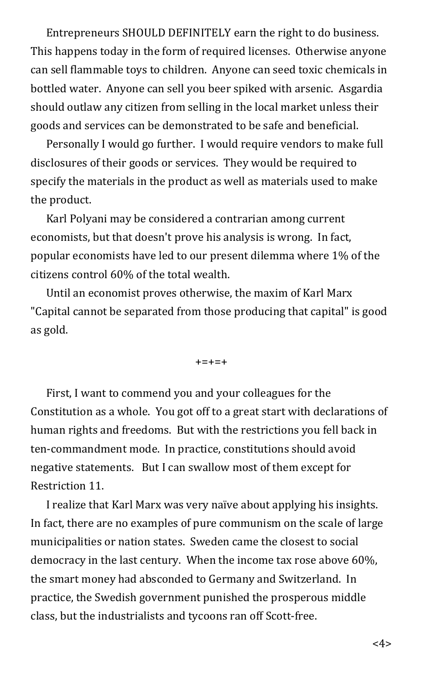Entrepreneurs SHOULD DEFINITELY earn the right to do business. This happens today in the form of required licenses. Otherwise anyone can sell flammable toys to children. Anyone can seed toxic chemicals in bottled water. Anyone can sell you beer spiked with arsenic. Asgardia should outlaw any citizen from selling in the local market unless their goods and services can be demonstrated to be safe and beneficial.

Personally I would go further. I would require vendors to make full disclosures of their goods or services. They would be required to specify the materials in the product as well as materials used to make the product.

Karl Polyani may be considered a contrarian among current economists, but that doesn't prove his analysis is wrong. In fact, popular economists have led to our present dilemma where 1% of the citizens control 60% of the total wealth.

Until an economist proves otherwise, the maxim of Karl Marx "Capital cannot be separated from those producing that capital" is good as gold.

+=+=+

First, I want to commend you and your colleagues for the Constitution as a whole. You got off to a great start with declarations of human rights and freedoms. But with the restrictions you fell back in ten-commandment mode. In practice, constitutions should avoid negative statements. But I can swallow most of them except for Restriction 11.

I realize that Karl Marx was very naïve about applying his insights. In fact, there are no examples of pure communism on the scale of large municipalities or nation states. Sweden came the closest to social democracy in the last century. When the income tax rose above 60%, the smart money had absconded to Germany and Switzerland. In practice, the Swedish government punished the prosperous middle class, but the industrialists and tycoons ran off Scott-free.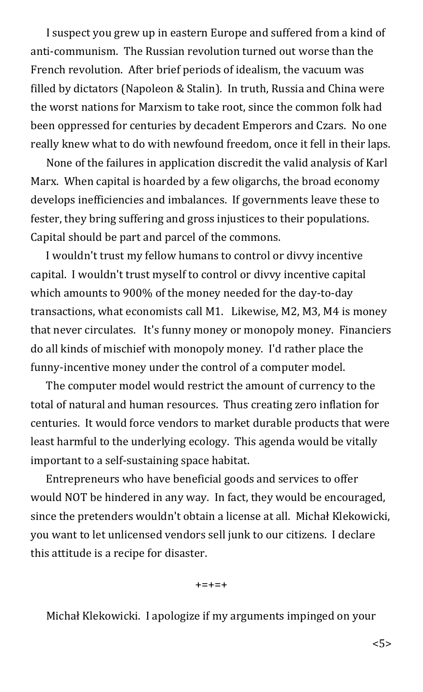I suspect you grew up in eastern Europe and suffered from a kind of anti-communism. The Russian revolution turned out worse than the French revolution. After brief periods of idealism, the vacuum was filled by dictators (Napoleon & Stalin). In truth, Russia and China were the worst nations for Marxism to take root, since the common folk had been oppressed for centuries by decadent Emperors and Czars. No one really knew what to do with newfound freedom, once it fell in their laps.

None of the failures in application discredit the valid analysis of Karl Marx. When capital is hoarded by a few oligarchs, the broad economy develops inefficiencies and imbalances. If governments leave these to fester, they bring suffering and gross injustices to their populations. Capital should be part and parcel of the commons.

I wouldn't trust my fellow humans to control or divvy incentive capital. I wouldn't trust myself to control or divvy incentive capital which amounts to 900% of the money needed for the day-to-day transactions, what economists call M1. Likewise, M2, M3, M4 is money that never circulates. It's funny money or monopoly money. Financiers do all kinds of mischief with monopoly money. I'd rather place the funny-incentive money under the control of a computer model.

The computer model would restrict the amount of currency to the total of natural and human resources. Thus creating zero inflation for centuries. It would force vendors to market durable products that were least harmful to the underlying ecology. This agenda would be vitally important to a self-sustaining space habitat.

Entrepreneurs who have beneficial goods and services to offer would NOT be hindered in any way. In fact, they would be encouraged, since the pretenders wouldn't obtain a license at all. Michał Klekowicki, you want to let unlicensed vendors sell junk to our citizens. I declare this attitude is a recipe for disaster.

 $+ = + = +$ 

Michał Klekowicki. I apologize if my arguments impinged on your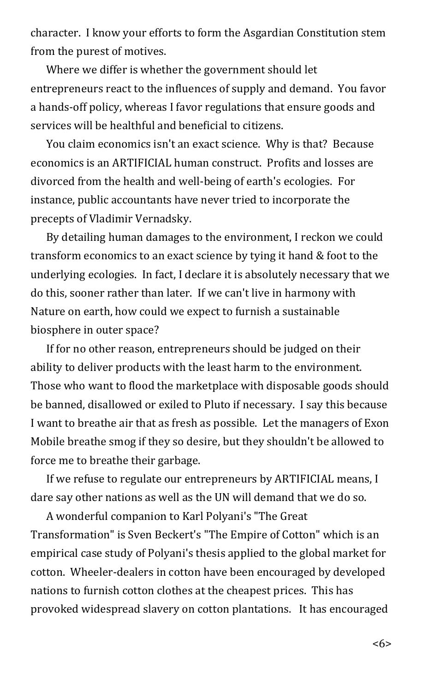character. I know your efforts to form the Asgardian Constitution stem from the purest of motives.

Where we differ is whether the government should let entrepreneurs react to the influences of supply and demand. You favor a hands-off policy, whereas I favor regulations that ensure goods and services will be healthful and beneficial to citizens.

You claim economics isn't an exact science. Why is that? Because economics is an ARTIFICIAL human construct. Profits and losses are divorced from the health and well-being of earth's ecologies. For instance, public accountants have never tried to incorporate the precepts of Vladimir Vernadsky.

By detailing human damages to the environment, I reckon we could transform economics to an exact science by tying it hand & foot to the underlying ecologies. In fact, I declare it is absolutely necessary that we do this, sooner rather than later. If we can't live in harmony with Nature on earth, how could we expect to furnish a sustainable biosphere in outer space?

If for no other reason, entrepreneurs should be judged on their ability to deliver products with the least harm to the environment. Those who want to flood the marketplace with disposable goods should be banned, disallowed or exiled to Pluto if necessary. I say this because I want to breathe air that as fresh as possible. Let the managers of Exon Mobile breathe smog if they so desire, but they shouldn't be allowed to force me to breathe their garbage.

If we refuse to regulate our entrepreneurs by ARTIFICIAL means, I dare say other nations as well as the UN will demand that we do so.

A wonderful companion to Karl Polyani's "The Great Transformation" is Sven Beckert's "The Empire of Cotton" which is an empirical case study of Polyani's thesis applied to the global market for cotton. Wheeler-dealers in cotton have been encouraged by developed nations to furnish cotton clothes at the cheapest prices. This has provoked widespread slavery on cotton plantations. It has encouraged